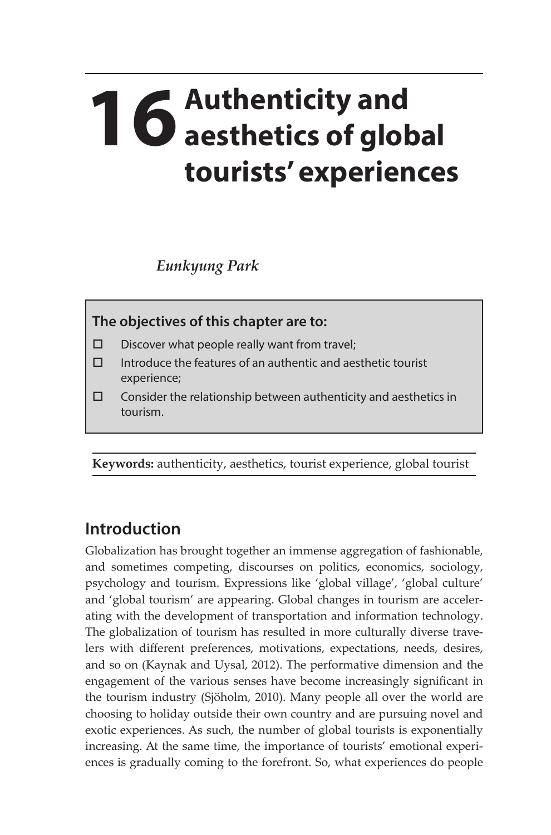## **16** Authenticity and **16** aesthetics of glob **aesthetics of global tourists' experiences**

*Eunkyung Park*

**The objectives of this chapter are to:** 

- $\square$  Discover what people really want from travel;
- $\Box$  Introduce the features of an authentic and aesthetic tourist experience;
- $\square$  Consider the relationship between authenticity and aesthetics in tourism.

**Keywords:** authenticity, aesthetics, tourist experience, global tourist

## **Introduction**

Globalization has brought together an immense aggregation of fashionable, and sometimes competing, discourses on politics, economics, sociology, psychology and tourism. Expressions like 'global village', 'global culture' and 'global tourism' are appearing. Global changes in tourism are accelerating with the development of transportation and information technology. The globalization of tourism has resulted in more culturally diverse travelers with different preferences, motivations, expectations, needs, desires, and so on (Kaynak and Uysal, 2012). The performative dimension and the engagement of the various senses have become increasingly significant in the tourism industry (Sjöholm, 2010). Many people all over the world are choosing to holiday outside their own country and are pursuing novel and exotic experiences. As such, the number of global tourists is exponentially increasing. At the same time, the importance of tourists' emotional experiences is gradually coming to the forefront. So, what experiences do people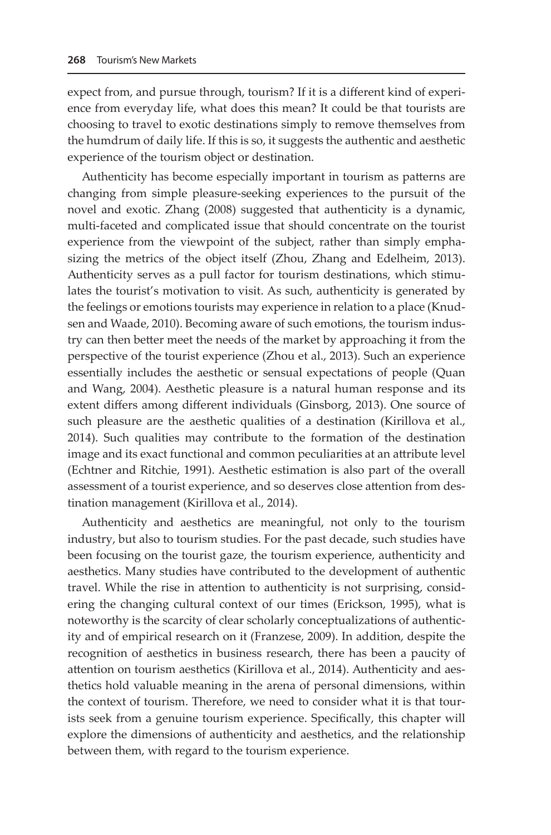expect from, and pursue through, tourism? If it is a different kind of experience from everyday life, what does this mean? It could be that tourists are choosing to travel to exotic destinations simply to remove themselves from the humdrum of daily life. If this is so, it suggests the authentic and aesthetic experience of the tourism object or destination.

Authenticity has become especially important in tourism as patterns are changing from simple pleasure-seeking experiences to the pursuit of the novel and exotic. Zhang (2008) suggested that authenticity is a dynamic, multi-faceted and complicated issue that should concentrate on the tourist experience from the viewpoint of the subject, rather than simply emphasizing the metrics of the object itself (Zhou, Zhang and Edelheim, 2013). Authenticity serves as a pull factor for tourism destinations, which stimulates the tourist's motivation to visit. As such, authenticity is generated by the feelings or emotions tourists may experience in relation to a place (Knudsen and Waade, 2010). Becoming aware of such emotions, the tourism industry can then better meet the needs of the market by approaching it from the perspective of the tourist experience (Zhou et al., 2013). Such an experience essentially includes the aesthetic or sensual expectations of people (Quan and Wang, 2004). Aesthetic pleasure is a natural human response and its extent differs among different individuals (Ginsborg, 2013). One source of such pleasure are the aesthetic qualities of a destination (Kirillova et al., 2014). Such qualities may contribute to the formation of the destination image and its exact functional and common peculiarities at an attribute level (Echtner and Ritchie, 1991). Aesthetic estimation is also part of the overall assessment of a tourist experience, and so deserves close attention from destination management (Kirillova et al., 2014).

Authenticity and aesthetics are meaningful, not only to the tourism industry, but also to tourism studies. For the past decade, such studies have been focusing on the tourist gaze, the tourism experience, authenticity and aesthetics. Many studies have contributed to the development of authentic travel. While the rise in attention to authenticity is not surprising, considering the changing cultural context of our times (Erickson, 1995), what is noteworthy is the scarcity of clear scholarly conceptualizations of authenticity and of empirical research on it (Franzese, 2009). In addition, despite the recognition of aesthetics in business research, there has been a paucity of attention on tourism aesthetics (Kirillova et al., 2014). Authenticity and aesthetics hold valuable meaning in the arena of personal dimensions, within the context of tourism. Therefore, we need to consider what it is that tourists seek from a genuine tourism experience. Specifically, this chapter will explore the dimensions of authenticity and aesthetics, and the relationship between them, with regard to the tourism experience.